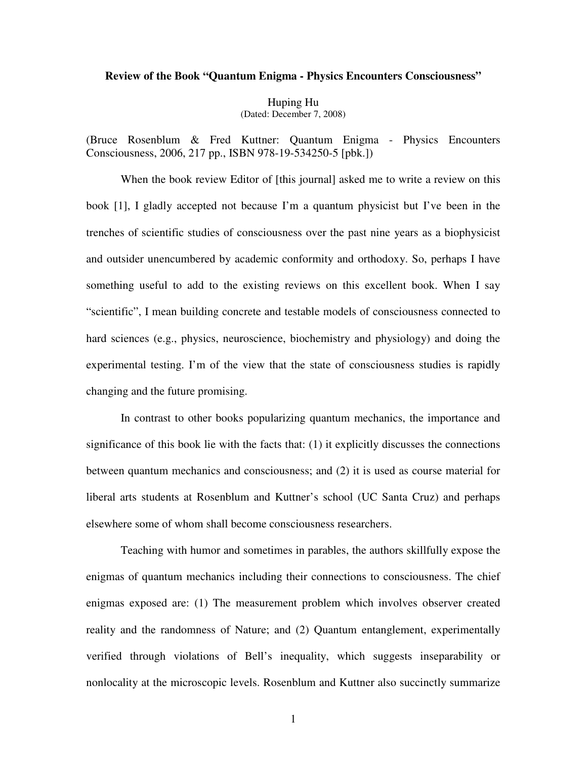## **Review of the Book "Quantum Enigma - Physics Encounters Consciousness"**

Huping Hu (Dated: December 7, 2008)

(Bruce Rosenblum & Fred Kuttner: Quantum Enigma - Physics Encounters Consciousness, 2006, 217 pp., ISBN 978-19-534250-5 [pbk.])

When the book review Editor of [this journal] asked me to write a review on this book [1], I gladly accepted not because I'm a quantum physicist but I've been in the trenches of scientific studies of consciousness over the past nine years as a biophysicist and outsider unencumbered by academic conformity and orthodoxy. So, perhaps I have something useful to add to the existing reviews on this excellent book. When I say "scientific", I mean building concrete and testable models of consciousness connected to hard sciences (e.g., physics, neuroscience, biochemistry and physiology) and doing the experimental testing. I'm of the view that the state of consciousness studies is rapidly changing and the future promising.

In contrast to other books popularizing quantum mechanics, the importance and significance of this book lie with the facts that: (1) it explicitly discusses the connections between quantum mechanics and consciousness; and (2) it is used as course material for liberal arts students at Rosenblum and Kuttner's school (UC Santa Cruz) and perhaps elsewhere some of whom shall become consciousness researchers.

Teaching with humor and sometimes in parables, the authors skillfully expose the enigmas of quantum mechanics including their connections to consciousness. The chief enigmas exposed are: (1) The measurement problem which involves observer created reality and the randomness of Nature; and (2) Quantum entanglement, experimentally verified through violations of Bell's inequality, which suggests inseparability or nonlocality at the microscopic levels. Rosenblum and Kuttner also succinctly summarize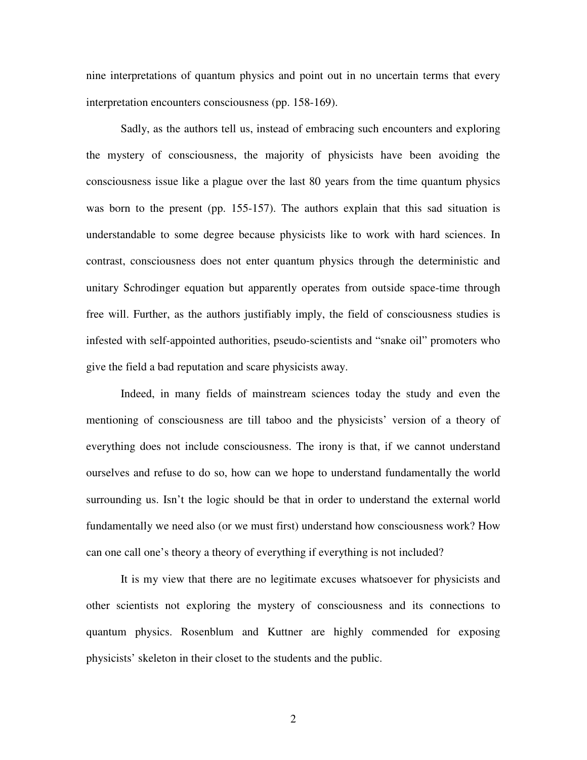nine interpretations of quantum physics and point out in no uncertain terms that every interpretation encounters consciousness (pp. 158-169).

Sadly, as the authors tell us, instead of embracing such encounters and exploring the mystery of consciousness, the majority of physicists have been avoiding the consciousness issue like a plague over the last 80 years from the time quantum physics was born to the present (pp. 155-157). The authors explain that this sad situation is understandable to some degree because physicists like to work with hard sciences. In contrast, consciousness does not enter quantum physics through the deterministic and unitary Schrodinger equation but apparently operates from outside space-time through free will. Further, as the authors justifiably imply, the field of consciousness studies is infested with self-appointed authorities, pseudo-scientists and "snake oil" promoters who give the field a bad reputation and scare physicists away.

Indeed, in many fields of mainstream sciences today the study and even the mentioning of consciousness are till taboo and the physicists' version of a theory of everything does not include consciousness. The irony is that, if we cannot understand ourselves and refuse to do so, how can we hope to understand fundamentally the world surrounding us. Isn't the logic should be that in order to understand the external world fundamentally we need also (or we must first) understand how consciousness work? How can one call one's theory a theory of everything if everything is not included?

It is my view that there are no legitimate excuses whatsoever for physicists and other scientists not exploring the mystery of consciousness and its connections to quantum physics. Rosenblum and Kuttner are highly commended for exposing physicists' skeleton in their closet to the students and the public.

2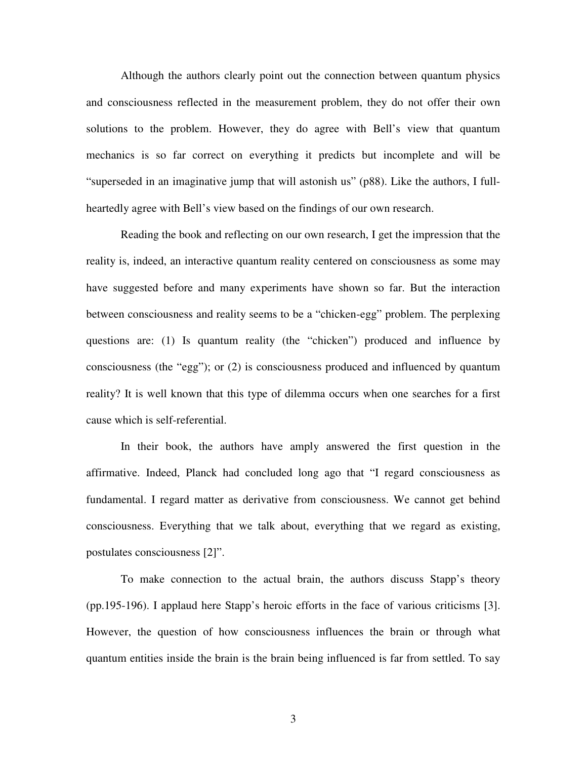Although the authors clearly point out the connection between quantum physics and consciousness reflected in the measurement problem, they do not offer their own solutions to the problem. However, they do agree with Bell's view that quantum mechanics is so far correct on everything it predicts but incomplete and will be "superseded in an imaginative jump that will astonish us" (p88). Like the authors, I fullheartedly agree with Bell's view based on the findings of our own research.

Reading the book and reflecting on our own research, I get the impression that the reality is, indeed, an interactive quantum reality centered on consciousness as some may have suggested before and many experiments have shown so far. But the interaction between consciousness and reality seems to be a "chicken-egg" problem. The perplexing questions are: (1) Is quantum reality (the "chicken") produced and influence by consciousness (the "egg"); or (2) is consciousness produced and influenced by quantum reality? It is well known that this type of dilemma occurs when one searches for a first cause which is self-referential.

In their book, the authors have amply answered the first question in the affirmative. Indeed, Planck had concluded long ago that "I regard consciousness as fundamental. I regard matter as derivative from consciousness. We cannot get behind consciousness. Everything that we talk about, everything that we regard as existing, postulates consciousness [2]".

To make connection to the actual brain, the authors discuss Stapp's theory (pp.195-196). I applaud here Stapp's heroic efforts in the face of various criticisms [3]. However, the question of how consciousness influences the brain or through what quantum entities inside the brain is the brain being influenced is far from settled. To say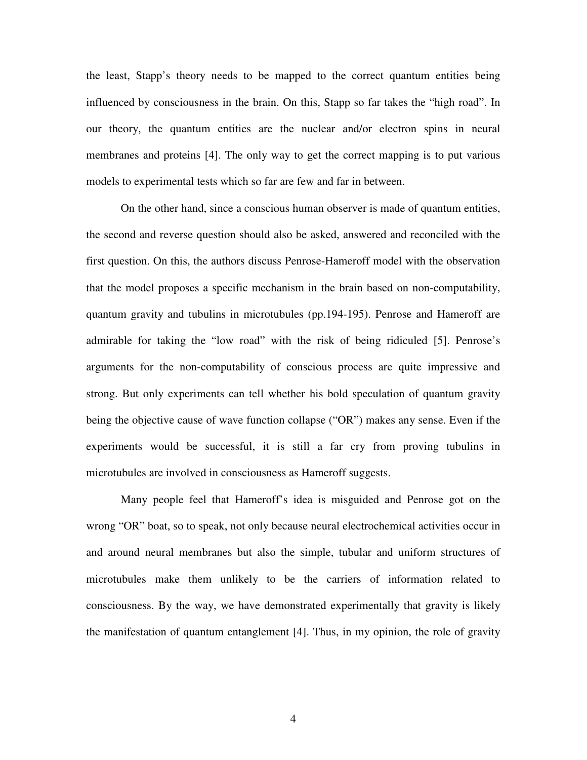the least, Stapp's theory needs to be mapped to the correct quantum entities being influenced by consciousness in the brain. On this, Stapp so far takes the "high road". In our theory, the quantum entities are the nuclear and/or electron spins in neural membranes and proteins [4]. The only way to get the correct mapping is to put various models to experimental tests which so far are few and far in between.

On the other hand, since a conscious human observer is made of quantum entities, the second and reverse question should also be asked, answered and reconciled with the first question. On this, the authors discuss Penrose-Hameroff model with the observation that the model proposes a specific mechanism in the brain based on non-computability, quantum gravity and tubulins in microtubules (pp.194-195). Penrose and Hameroff are admirable for taking the "low road" with the risk of being ridiculed [5]. Penrose's arguments for the non-computability of conscious process are quite impressive and strong. But only experiments can tell whether his bold speculation of quantum gravity being the objective cause of wave function collapse ("OR") makes any sense. Even if the experiments would be successful, it is still a far cry from proving tubulins in microtubules are involved in consciousness as Hameroff suggests.

Many people feel that Hameroff's idea is misguided and Penrose got on the wrong "OR" boat, so to speak, not only because neural electrochemical activities occur in and around neural membranes but also the simple, tubular and uniform structures of microtubules make them unlikely to be the carriers of information related to consciousness. By the way, we have demonstrated experimentally that gravity is likely the manifestation of quantum entanglement [4]. Thus, in my opinion, the role of gravity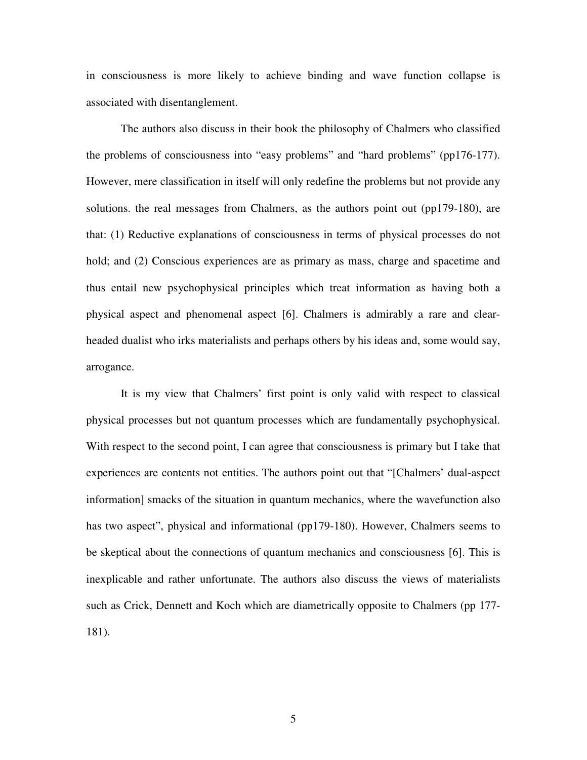in consciousness is more likely to achieve binding and wave function collapse is associated with disentanglement.

The authors also discuss in their book the philosophy of Chalmers who classified the problems of consciousness into "easy problems" and "hard problems" (pp176-177). However, mere classification in itself will only redefine the problems but not provide any solutions. the real messages from Chalmers, as the authors point out (pp179-180), are that: (1) Reductive explanations of consciousness in terms of physical processes do not hold; and (2) Conscious experiences are as primary as mass, charge and spacetime and thus entail new psychophysical principles which treat information as having both a physical aspect and phenomenal aspect [6]. Chalmers is admirably a rare and clearheaded dualist who irks materialists and perhaps others by his ideas and, some would say, arrogance.

It is my view that Chalmers' first point is only valid with respect to classical physical processes but not quantum processes which are fundamentally psychophysical. With respect to the second point, I can agree that consciousness is primary but I take that experiences are contents not entities. The authors point out that "[Chalmers' dual-aspect information] smacks of the situation in quantum mechanics, where the wavefunction also has two aspect", physical and informational (pp179-180). However, Chalmers seems to be skeptical about the connections of quantum mechanics and consciousness [6]. This is inexplicable and rather unfortunate. The authors also discuss the views of materialists such as Crick, Dennett and Koch which are diametrically opposite to Chalmers (pp 177- 181).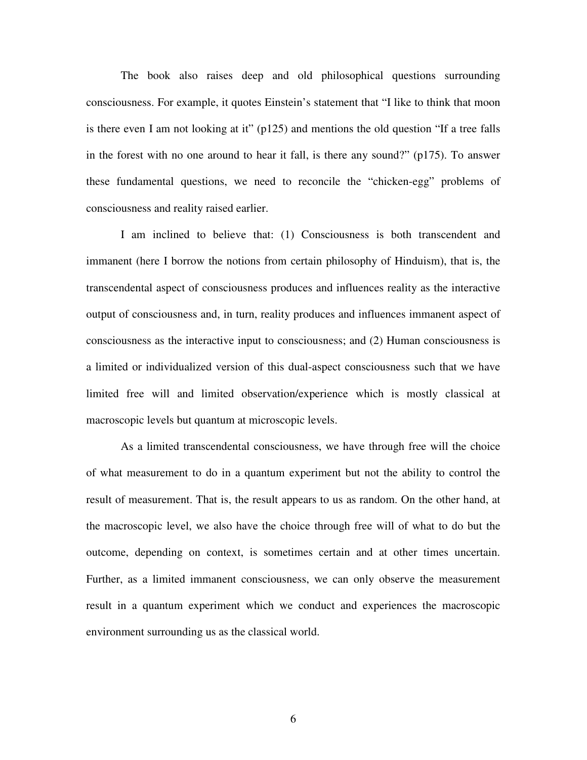The book also raises deep and old philosophical questions surrounding consciousness. For example, it quotes Einstein's statement that "I like to think that moon is there even I am not looking at it"  $(p125)$  and mentions the old question "If a tree falls in the forest with no one around to hear it fall, is there any sound?" (p175). To answer these fundamental questions, we need to reconcile the "chicken-egg" problems of consciousness and reality raised earlier.

I am inclined to believe that: (1) Consciousness is both transcendent and immanent (here I borrow the notions from certain philosophy of Hinduism), that is, the transcendental aspect of consciousness produces and influences reality as the interactive output of consciousness and, in turn, reality produces and influences immanent aspect of consciousness as the interactive input to consciousness; and (2) Human consciousness is a limited or individualized version of this dual-aspect consciousness such that we have limited free will and limited observation/experience which is mostly classical at macroscopic levels but quantum at microscopic levels.

As a limited transcendental consciousness, we have through free will the choice of what measurement to do in a quantum experiment but not the ability to control the result of measurement. That is, the result appears to us as random. On the other hand, at the macroscopic level, we also have the choice through free will of what to do but the outcome, depending on context, is sometimes certain and at other times uncertain. Further, as a limited immanent consciousness, we can only observe the measurement result in a quantum experiment which we conduct and experiences the macroscopic environment surrounding us as the classical world.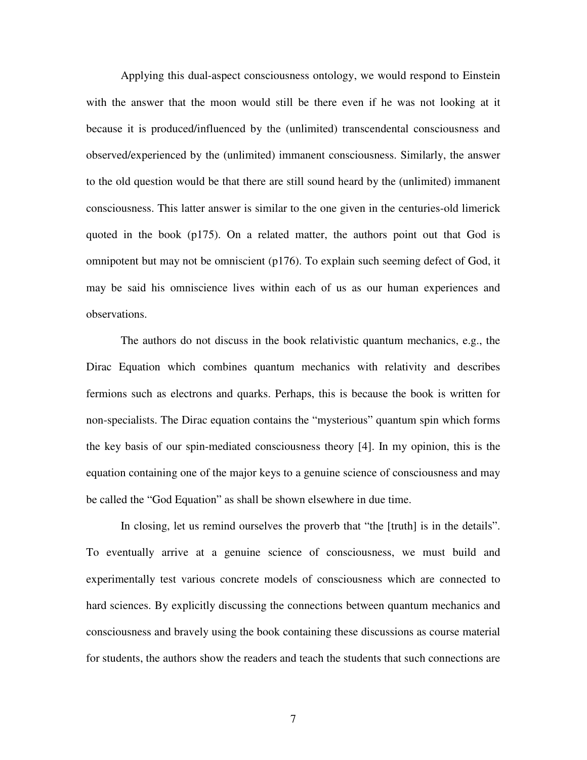Applying this dual-aspect consciousness ontology, we would respond to Einstein with the answer that the moon would still be there even if he was not looking at it because it is produced/influenced by the (unlimited) transcendental consciousness and observed/experienced by the (unlimited) immanent consciousness. Similarly, the answer to the old question would be that there are still sound heard by the (unlimited) immanent consciousness. This latter answer is similar to the one given in the centuries-old limerick quoted in the book (p175). On a related matter, the authors point out that God is omnipotent but may not be omniscient (p176). To explain such seeming defect of God, it may be said his omniscience lives within each of us as our human experiences and observations.

The authors do not discuss in the book relativistic quantum mechanics, e.g., the Dirac Equation which combines quantum mechanics with relativity and describes fermions such as electrons and quarks. Perhaps, this is because the book is written for non-specialists. The Dirac equation contains the "mysterious" quantum spin which forms the key basis of our spin-mediated consciousness theory [4]. In my opinion, this is the equation containing one of the major keys to a genuine science of consciousness and may be called the "God Equation" as shall be shown elsewhere in due time.

In closing, let us remind ourselves the proverb that "the [truth] is in the details". To eventually arrive at a genuine science of consciousness, we must build and experimentally test various concrete models of consciousness which are connected to hard sciences. By explicitly discussing the connections between quantum mechanics and consciousness and bravely using the book containing these discussions as course material for students, the authors show the readers and teach the students that such connections are